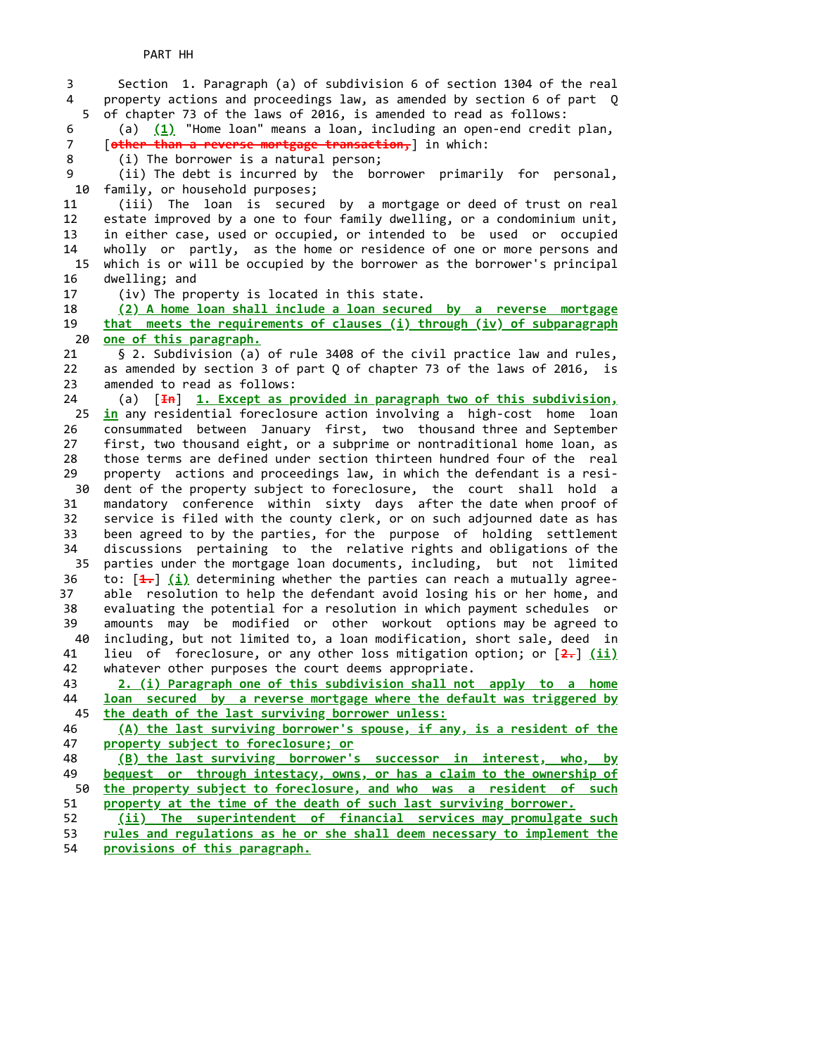5 10 15 20 25 30 dent of the property subject to foreclosure, the court shall hold a 35 parties under the mortgage loan documents, including, but not limited 40 45 50 3 Section 1. Paragraph (a) of subdivision 6 of section 1304 of the real 4 property actions and proceedings law, as amended by section 6 of part Q of chapter 73 of the laws of 2016, is amended to read as follows: 6 (a) (1) "Home loan" means a loan, including an open-end credit plan, 7 [other than a reverse mortgage transaction, ] in which: 8 (i) The borrower is a natural person; 9 (ii) The debt is incurred by the borrower primarily for personal, family, or household purposes; 11 (iii) The loan is secured by a mortgage or deed of trust on real 12 estate improved by a one to four family dwelling, or a condominium unit, 13 in either case, used or occupied, or intended to be used or occupied 14 wholly or partly, as the home or residence of one or more persons and which is or will be occupied by the borrower as the borrower's principal 16 dwelling; and 17 (iv) The property is located in this state. 18 (2) A home loan shall include a loan secured by a reverse mortgage 19 that meets the requirements of clauses (i) through (iv) of subparagraph one of this paragraph. 21 § 2. Subdivision (a) of rule 3408 of the civil practice law and rules, 22 as amended by section 3 of part Q of chapter 73 of the laws of 2016, is 23 amended to read as follows: 24 (a) [<del>In</del>] 1. Except as provided in paragraph two of this subdivision, in any residential foreclosure action involving a high-cost home loan 26 consummated between January first, two thousand three and September 27 first, two thousand eight, or a subprime or nontraditional home loan, as 28 those terms are defined under section thirteen hundred four of the real 29 property actions and proceedings law, in which the defendant is a resi- 31 mandatory conference within sixty days after the date when proof of 32 service is filed with the county clerk, or on such adjourned date as has 33 been agreed to by the parties, for the purpose of holding settlement 34 discussions pertaining to the relative rights and obligations of the 36 to:  $\left[\frac{4}{1}\right]$  (i) determining whether the parties can reach a mutually agree-37 able resolution to help the defendant avoid losing his or her home, and 38 evaluating the potential for a resolution in which payment schedules or 39 amounts may be modified or other workout options may be agreed to including, but not limited to, a loan modification, short sale, deed in 41 lieu of foreclosure, or any other loss mitigation option; or  $[2, \frac{1}{1}]$  42 whatever other purposes the court deems appropriate. 43 **2.** (i) Paragraph one of this subdivision shall not apply to a home 44 **loan secured by a reverse mortgage where the default was triggered by** the death of the last surviving borrower unless: 46 (A) the last surviving borrower's spouse, if any, is a resident of the 47 property subject to foreclosure; or 48 (B) the last surviving borrower's successor in interest, who, by 49 **bequest or through intestacy, owns, or has a claim to the ownership of** the property subject to foreclosure, and who was a resident of such 51 property at the time of the death of such last surviving borrower. 52 (ii) The superintendent of financial services may promulgate such 53 rules and regulations as he or she shall deem necessary to implement the 54 provisions of this paragraph.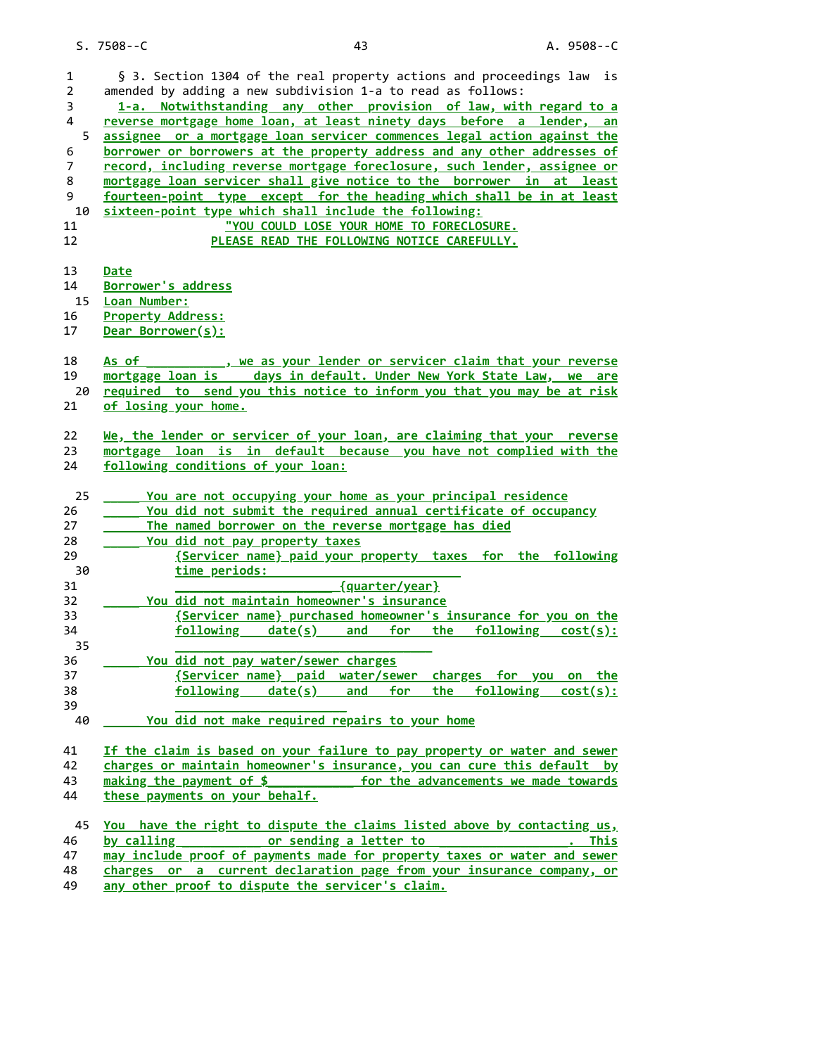| $\mathbf{1}$   | § 3. Section 1304 of the real property actions and proceedings law is                                                                             |
|----------------|---------------------------------------------------------------------------------------------------------------------------------------------------|
| $\overline{2}$ | amended by adding a new subdivision 1-a to read as follows:                                                                                       |
|                |                                                                                                                                                   |
| 3              | 1-a. Notwithstanding any other provision of law, with regard to a                                                                                 |
| $\overline{4}$ | reverse mortgage home loan, at least ninety days before a lender, an                                                                              |
| 5              | assignee or a mortgage loan servicer commences legal action against the                                                                           |
| 6              | borrower or borrowers at the property address and any other addresses of                                                                          |
| $\overline{7}$ | record, including reverse mortgage foreclosure, such lender, assignee or                                                                          |
| 8              | mortgage loan servicer shall give notice to the borrower in at least                                                                              |
| 9              | fourteen-point type except for the heading which shall be in at least                                                                             |
| 10             | sixteen-point type which shall include the following:                                                                                             |
| 11             | "YOU COULD LOSE YOUR HOME TO FORECLOSURE.                                                                                                         |
| 12             | PLEASE READ THE FOLLOWING NOTICE CAREFULLY.                                                                                                       |
|                |                                                                                                                                                   |
| 13             | Date                                                                                                                                              |
| 14             | Borrower's address                                                                                                                                |
| 15             | Loan Number:                                                                                                                                      |
| 16             | <b>Property Address:</b>                                                                                                                          |
| 17             | Dear Borrower(s):                                                                                                                                 |
|                |                                                                                                                                                   |
|                | As of                                                                                                                                             |
| 18             | <u>state of the servicer claim that your reverse claim that your reverse</u>                                                                      |
| 19             | mortgage loan is ___ days in default. Under New York State Law, we are                                                                            |
| 20             | required to send you this notice to inform you that you may be at risk                                                                            |
| 21             | of losing your home.                                                                                                                              |
|                |                                                                                                                                                   |
| 22             | We, the lender or servicer of your loan, are claiming that your reverse                                                                           |
| 23             | mortgage loan is in default because you have not complied with the                                                                                |
| 24             | following conditions of your loan:                                                                                                                |
|                |                                                                                                                                                   |
|                |                                                                                                                                                   |
| 25             | You are not occupying your home as your principal residence                                                                                       |
| 26             | You did not submit the required annual certificate of occupancy                                                                                   |
| 27             | The named borrower on the reverse mortgage has died                                                                                               |
| 28             | You did not pay property taxes                                                                                                                    |
| 29             | {Servicer name} paid your property taxes for the following                                                                                        |
| 30             | time periods:                                                                                                                                     |
| 31             | {quarter/year}                                                                                                                                    |
| 32             | You did not maintain homeowner's insurance                                                                                                        |
| 33             | {Servicer name} purchased homeowner's insurance for you on the                                                                                    |
| 34             | $f$ ollowing date(s) and for the following cost(s):                                                                                               |
| 35             |                                                                                                                                                   |
| 36             | You did not pay water/sewer charges                                                                                                               |
| 37             |                                                                                                                                                   |
|                | {Servicer name} paid water/sewer charges for you on the                                                                                           |
| 38             | $f$ ollowing date(s) and for the following cost(s):                                                                                               |
| 39             |                                                                                                                                                   |
| - 40           | You did not make required repairs to your home                                                                                                    |
|                |                                                                                                                                                   |
| 41             | If the claim is based on your failure to pay property or water and sewer                                                                          |
| 42             | charges or maintain homeowner's insurance, you can cure this default by                                                                           |
| 43             | making the payment of $$$<br>for the advancements we made towards                                                                                 |
| 44             | these payments on your behalf.                                                                                                                    |
|                |                                                                                                                                                   |
| 45             | You have the right to dispute the claims listed above by contacting us,                                                                           |
| 46             | by calling _______________ or sending a letter to<br>This<br><u>.</u>                                                                             |
| 47<br>48       | may include proof of payments made for property taxes or water and sewer<br>charges or a current declaration page from your insurance company, or |

49 any other proof to dispute the servicer's claim.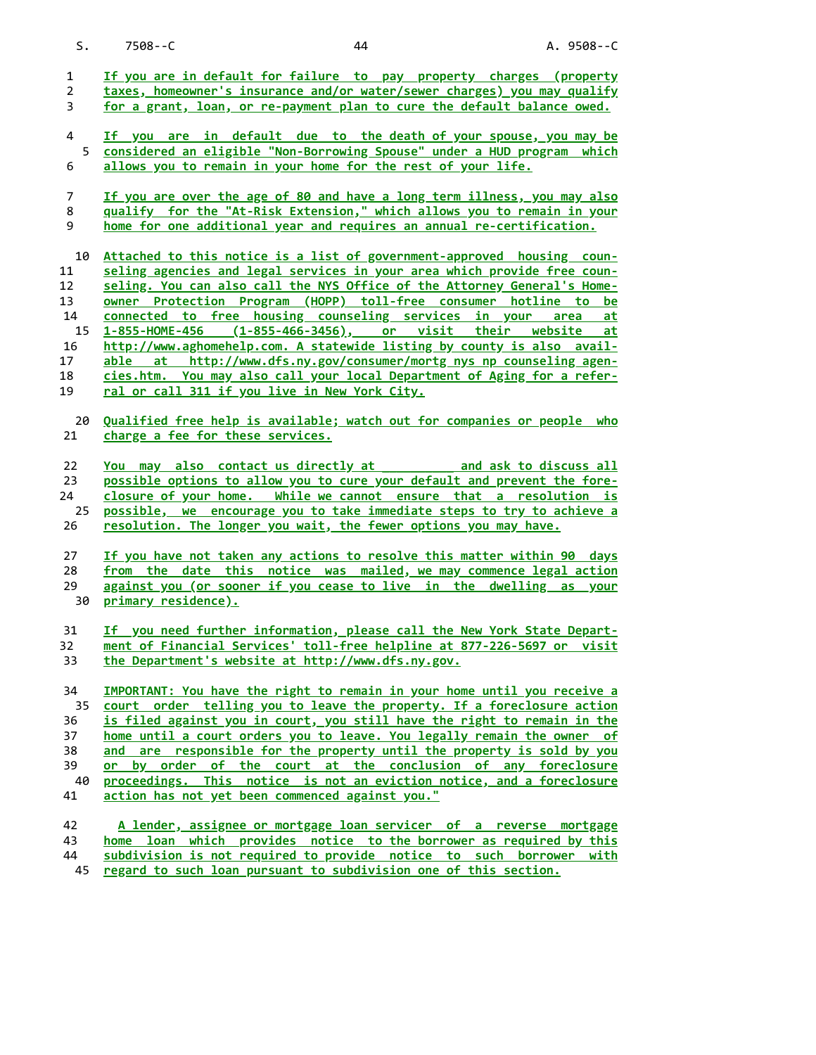S. 7508--C 44 A. 9508--C

| $\mathbf{1}$<br>$\overline{2}$ | If you are in default for failure to pay property charges (property<br>taxes, homeowner's insurance and/or water/sewer charges) you may qualify  |
|--------------------------------|--------------------------------------------------------------------------------------------------------------------------------------------------|
| 3                              | for a grant, loan, or re-payment plan to cure the default balance owed.                                                                          |
| $\overline{\mathbf{4}}$        | If you are in default due to the death of your spouse, you may be                                                                                |
| 5<br>6                         | considered an eligible "Non-Borrowing Spouse" under a HUD program which<br>allows you to remain in your home for the rest of your life.          |
| 7                              | If you are over the age of 80 and have a long term illness, you may also                                                                         |
| 8<br>9                         | qualify for the "At-Risk Extension," which allows you to remain in your<br>home for one additional year and requires an annual re-certification. |
| 10                             | Attached to this notice is a list of government-approved housing coun-                                                                           |
| 11                             | seling agencies and legal services in your area which provide free coun-                                                                         |
| 12<br>13                       | seling. You can also call the NYS Office of the Attorney General's Home-<br>owner Protection Program (HOPP) toll-free consumer hotline to be     |
| 14                             | connected to free housing counseling services in your area<br>at                                                                                 |
| 15                             | 1-855-HOME-456 (1-855-466-3456), or visit their website<br><u>at</u>                                                                             |
| 16                             | http://www.aghomehelp.com. A statewide listing by county is also avail-                                                                          |
| 17                             | able at http://www.dfs.ny.gov/consumer/mortg_nys_np_counseling_agen-                                                                             |
| 18<br>19                       | cies.htm. You may also call your local Department of Aging for a refer-<br>ral or call 311 if you live in New York City.                         |
|                                |                                                                                                                                                  |
| 20<br>21                       | Qualified free help is available; watch out for companies or people who<br>charge a fee for these services.                                      |
| 22                             | You may also contact us directly at and ask to discuss all                                                                                       |
| 23                             | possible options to allow you to cure your default and prevent the fore-                                                                         |
| 24                             | closure of your home. While we cannot ensure that a resolution is                                                                                |
| 25<br>26                       | possible, we encourage you to take immediate steps to try to achieve a<br>resolution. The longer you wait, the fewer options you may have.       |
|                                |                                                                                                                                                  |
| 27                             | If you have not taken any actions to resolve this matter within 90 days                                                                          |
| 28                             | from the date this notice was mailed, we may commence legal action                                                                               |
| 29                             | against you (or sooner if you cease to live in the dwelling as your                                                                              |
| 30                             | primary residence).                                                                                                                              |
| 31                             | If you need further information, please call the New York State Depart-                                                                          |
| 32                             | ment of Financial Services' toll-free helpline at 877-226-5697 or visit                                                                          |
| 33                             | the Department's website at http://www.dfs.ny.gov.                                                                                               |
| 34                             | IMPORTANT: You have the right to remain in your home until you receive a                                                                         |
| 35                             | court order telling you to leave the property. If a foreclosure action                                                                           |
| 36                             | is filed against you in court, you still have the right to remain in the                                                                         |
| 37                             | home until a court orders you to leave. You legally remain the owner of                                                                          |
| 38                             | and are responsible for the property until the property is sold by you                                                                           |
| 39                             | or by order of the court at the conclusion of any foreclosure                                                                                    |
| 40<br>41                       | proceedings. This notice is not an eviction notice, and a foreclosure<br>action has not yet been commenced against you."                         |
| 42                             | A lender, assignee or mortgage loan servicer of a reverse mortgage                                                                               |
| 43                             | home loan which provides notice to the borrower as required by this                                                                              |
| 44                             | subdivision is not required to provide notice to such borrower with                                                                              |
| 45                             | regard to such loan pursuant to subdivision one of this section.                                                                                 |
|                                |                                                                                                                                                  |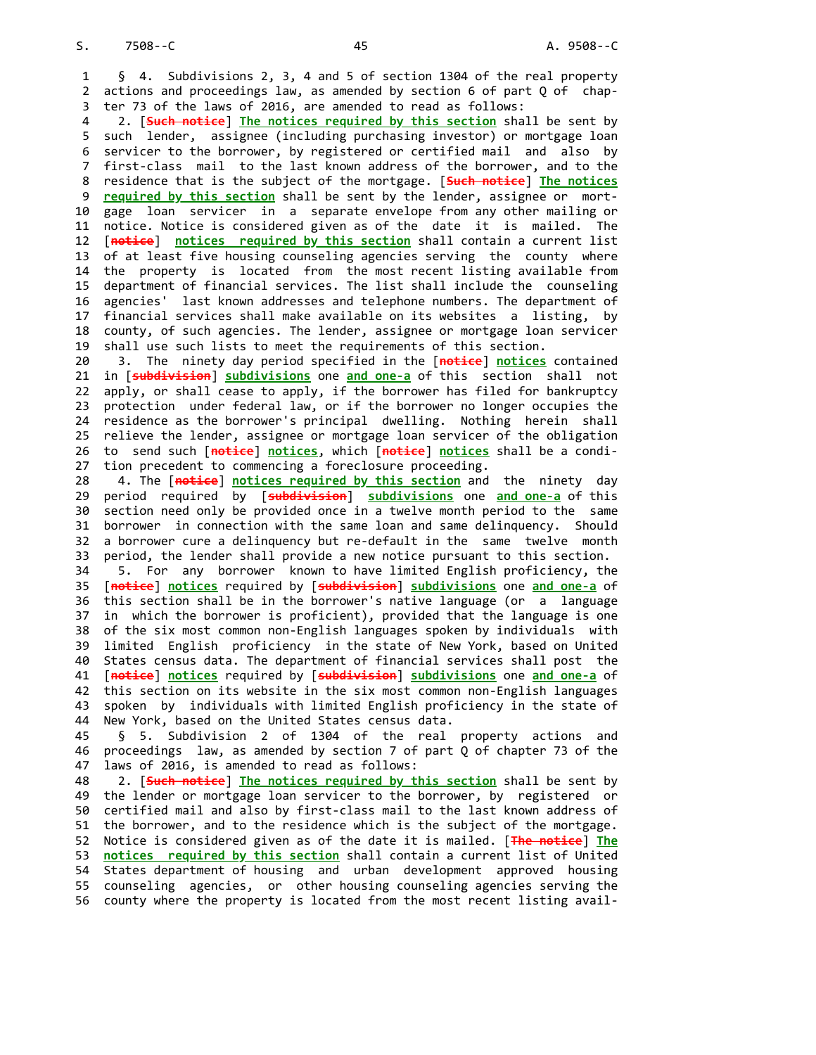§ 4. Subdivisions 2, 3, 4 and 5 of section 1304 of the real property actions and proceedings law, as amended by section 6 of part Q of chapter 73 of the laws of 2016, are amended to read as follows:

 such lender, assignee (including purchasing investor) or mortgage loan servicer to the borrower, by registered or certified mail and also by first-class mail to the last known address of the borrower, and to the 8 residence that is the subject of the mortgage. [<del>Such notice</del>] <u>The notices</u> 9 <u>required by this section</u> shall be sent by the lender, assignee or mort- gage loan servicer in a separate envelope from any other mailing or notice. Notice is considered given as of the date it is mailed. The 12 [<del>notice</del>] <u>notices required by this section</u> shall contain a current list of at least five housing counseling agencies serving the county where the property is located from the most recent listing available from department of financial services. The list shall include the counseling agencies' last known addresses and telephone numbers. The department of financial services shall make available on its websites a listing, by county, of such agencies. The lender, assignee or mortgage loan servicer 2. [Such notice] The notices required by this section shall be sent by shall use such lists to meet the requirements of this section.

 21 in [<del>subdivision</del>] <u>subdivisions</u> one <u>and one-a</u> of this section shall not apply, or shall cease to apply, if the borrower has filed for bankruptcy protection under federal law, or if the borrower no longer occupies the residence as the borrower's principal dwelling. Nothing herein shall relieve the lender, assignee or mortgage loan servicer of the obligation 26 to send such [<del>notice</del>] <u>notices</u>, which [<del>notice</del>] <u>notices</u> shall be a condi- tion precedent to commencing a foreclosure proceeding. 3. The ninety day period specified in the [notice] notices contained

 29 period required by [<del>s**ubdivision**] <u>subdivisions</u> one <u>and one-a</u> of this</del> section need only be provided once in a twelve month period to the same borrower in connection with the same loan and same delinquency. Should a borrower cure a delinquency but re-default in the same twelve month period, the lender shall provide a new notice pursuant to this section. 4. The [notice] notices required by this section and the ninety day

 35 [<del>notice</del>] <u>notices</u> required by [<del>subdivision</del>] <u>subdivisions</u> one <u>and one-a</u> of this section shall be in the borrower's native language (or a language in which the borrower is proficient), provided that the language is one of the six most common non-English languages spoken by individuals with limited English proficiency in the state of New York, based on United States census data. The department of financial services shall post the 41 [<del>notice</del>] <u>notices</u> required by [<del>subdivision</del>] <u>subdivisions</u> one <u>and one-a</u> of this section on its website in the six most common non-English languages spoken by individuals with limited English proficiency in the state of New York, based on the United States census data. 5. For any borrower known to have limited English proficiency, the

 proceedings law, as amended by section 7 of part Q of chapter 73 of the § 5. Subdivision 2 of 1304 of the real property actions and laws of 2016, is amended to read as follows:

 the lender or mortgage loan servicer to the borrower, by registered or certified mail and also by first-class mail to the last known address of the borrower, and to the residence which is the subject of the mortgage. 52 Notice is considered given as of the date it is mailed. [<del>The notice</del>] <u>The</u> notices required by this section shall contain a current list of United States department of housing and urban development approved housing counseling agencies, or other housing counseling agencies serving the county where the property is located from the most recent listing avail-2. [Such notice] The notices required by this section shall be sent by